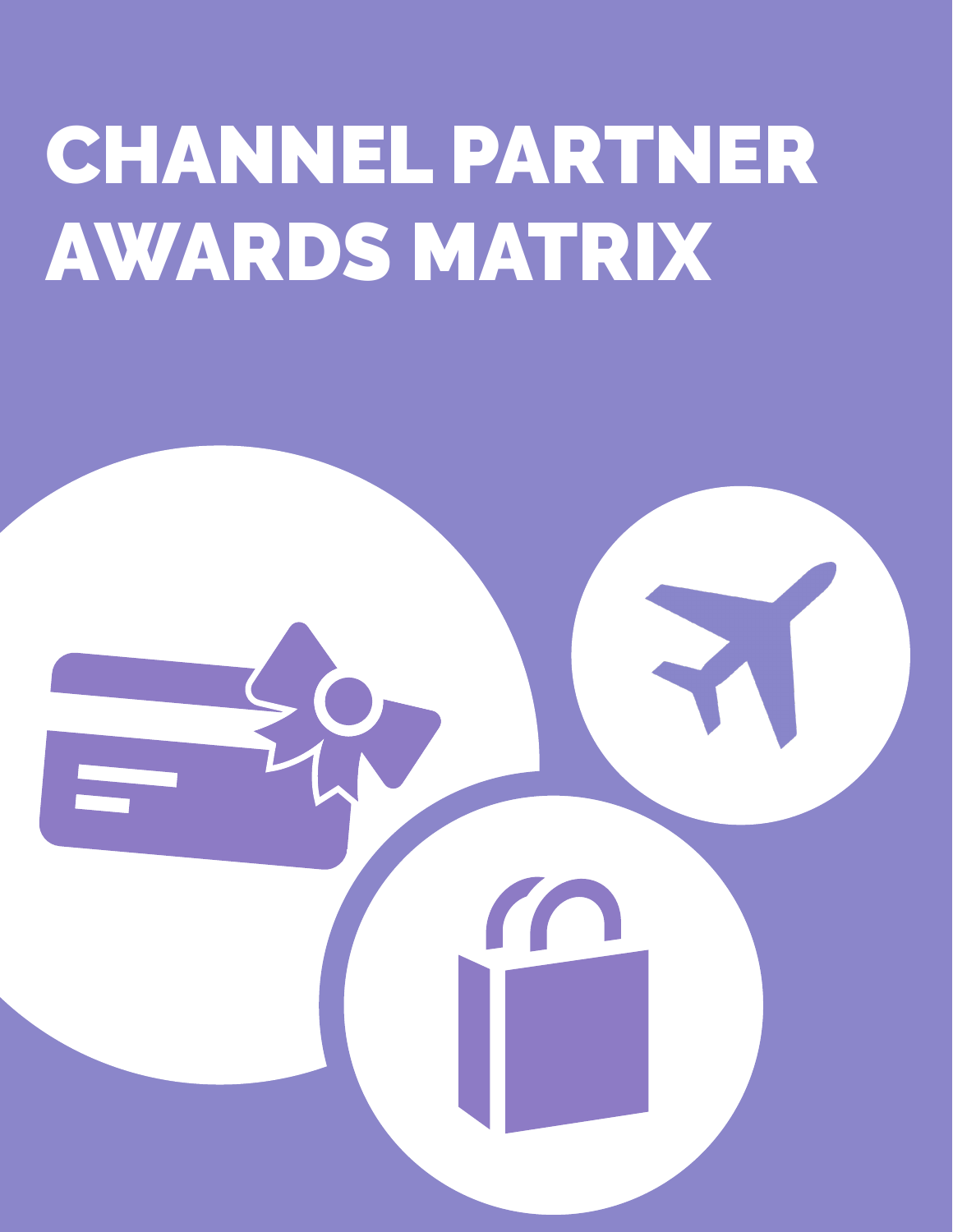## CHANNEL PARTNER AWARDS MATRIX